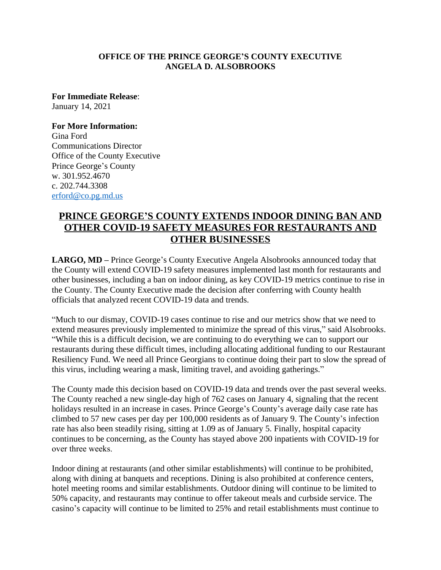## **OFFICE OF THE PRINCE GEORGE'S COUNTY EXECUTIVE ANGELA D. ALSOBROOKS**

**For Immediate Release**: January 14, 2021

## **For More Information:**

Gina Ford Communications Director Office of the County Executive Prince George's County w. 301.952.4670 c. 202.744.3308 [erford@co.pg.md.us](mailto:erford@co.pg.md.us)

## **PRINCE GEORGE'S COUNTY EXTENDS INDOOR DINING BAN AND OTHER COVID-19 SAFETY MEASURES FOR RESTAURANTS AND OTHER BUSINESSES**

**LARGO, MD –** Prince George's County Executive Angela Alsobrooks announced today that the County will extend COVID-19 safety measures implemented last month for restaurants and other businesses, including a ban on indoor dining, as key COVID-19 metrics continue to rise in the County. The County Executive made the decision after conferring with County health officials that analyzed recent COVID-19 data and trends.

"Much to our dismay, COVID-19 cases continue to rise and our metrics show that we need to extend measures previously implemented to minimize the spread of this virus," said Alsobrooks. "While this is a difficult decision, we are continuing to do everything we can to support our restaurants during these difficult times, including allocating additional funding to our Restaurant Resiliency Fund. We need all Prince Georgians to continue doing their part to slow the spread of this virus, including wearing a mask, limiting travel, and avoiding gatherings."

The County made this decision based on COVID-19 data and trends over the past several weeks. The County reached a new single-day high of 762 cases on January 4, signaling that the recent holidays resulted in an increase in cases. Prince George's County's average daily case rate has climbed to 57 new cases per day per 100,000 residents as of January 9. The County's infection rate has also been steadily rising, sitting at 1.09 as of January 5. Finally, hospital capacity continues to be concerning, as the County has stayed above 200 inpatients with COVID-19 for over three weeks.

Indoor dining at restaurants (and other similar establishments) will continue to be prohibited, along with dining at banquets and receptions. Dining is also prohibited at conference centers, hotel meeting rooms and similar establishments. Outdoor dining will continue to be limited to 50% capacity, and restaurants may continue to offer takeout meals and curbside service. The casino's capacity will continue to be limited to 25% and retail establishments must continue to